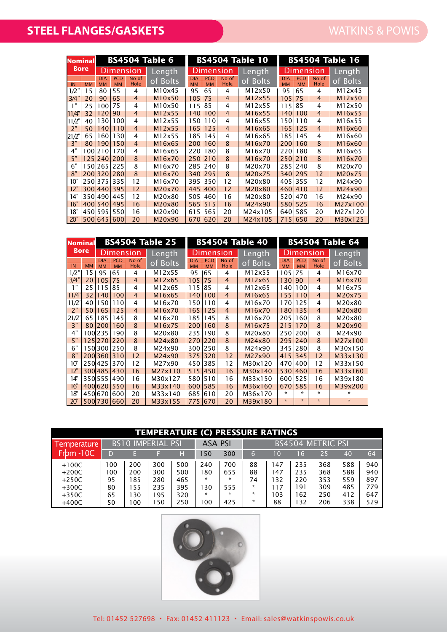| <b>Nominal</b> |                  |                         |                         |                | <b>BS4504 Table 6</b> |                         |                         |                      | <b>BS4504 Table 10</b> | <b>BS4504 Table 16</b>  |                         |                |          |  |
|----------------|------------------|-------------------------|-------------------------|----------------|-----------------------|-------------------------|-------------------------|----------------------|------------------------|-------------------------|-------------------------|----------------|----------|--|
|                | <b>Bore</b>      | Dimension               |                         |                | Length                | Dimension               |                         |                      | Length                 |                         | Dimension               | Length         |          |  |
| IN             | <b>MM</b>        | <b>DIA</b><br><b>MM</b> | <b>PCD</b><br><b>MM</b> | No of<br>Hole  | of Bolts              | <b>DIA</b><br><b>MM</b> | <b>PCD</b><br><b>MM</b> | No of<br><b>Hole</b> | of Bolts               | <b>DIA</b><br><b>MM</b> | <b>PCD</b><br><b>MM</b> | No of<br>Hole  | of Bolts |  |
| 1/2"           | 15               | 80                      | 55                      | 4              | M10x45                | 95                      | 65                      | 4                    | M12x50                 | 95                      | 65                      | 4              | M12x45   |  |
| 3/4"           | 20               | 90                      | 65                      | $\overline{4}$ | M10x50                | 105                     | 75                      | $\overline{4}$       | M12x55                 | 105                     | 75                      | $\overline{4}$ | M12x50   |  |
| 1"             | 25               | 100                     | 75                      | 4              | M10x50                | 115                     | 85                      | 4                    | M12x55                 | 115                     | 85                      | 4              | M12x50   |  |
| 11/4"          | 32               | 120                     | 90                      | $\overline{4}$ | M12x55                | 140                     | 100                     | $\overline{4}$       | M16x55                 | 140                     | 100                     | $\overline{4}$ | M16x55   |  |
| 11/2"          | 40               | 130                     | 100                     | 4              | M12x55                | 150                     | 110                     | 4                    | M16x55                 | 150                     | 110                     | 4              | M16x55   |  |
| 2"             | 50               | 140                     | 110                     | $\overline{4}$ | M12x55                | 165                     | 125                     | $\overline{4}$       | M16x65                 | 165                     | 125                     | $\overline{4}$ | M16x60   |  |
| 21/2"          | 65               | 160                     | 130                     | $\overline{4}$ | M12x55                | 185                     | 145                     | 4                    | M16x65                 | 185                     | 145                     | 4              | M16x60   |  |
| 3"             | 80               | 190                     | 150                     | $\overline{4}$ | M16x65                | 200                     | 160                     | 8                    | M16x70                 | 200                     | 160                     | 8              | M16x60   |  |
| 4"             | 100 <sup>1</sup> | 210                     | 170                     | 4              | M16x65                | 220                     | 180                     | 8                    | M16x70                 | 220                     | 180                     | 8              | M16x65   |  |
| 5"             |                  | 125 240                 | 200                     | 8              | M16x70                | 250                     | 210                     | 8                    | M16x70                 | 250                     | 210                     | 8              | M16x70   |  |
| 6"             |                  | 150 265                 | 225                     | 8              | M16x70                | 285                     | 240                     | 8                    | M20x70                 | 285                     | 240                     | 8              | M20x70   |  |
| 8"             | 200              | 320                     | 280                     | $\mathbf{8}$   | M16x70                | 340                     | 295                     | 8                    | M20x75                 | 340                     | 295                     | 12             | M20x75   |  |
| 10"            |                  | 250 375                 | 335                     | 12             | M16x70                | 395                     | 350                     | 12                   | M20x80                 | 405                     | 355                     | 12             | M24x90   |  |
| 12"            |                  | 300 440                 | 395                     | 12             | M20x70                | 445                     | 400                     | 12                   | M20x80                 | 460                     | 410                     | 12             | M24x90   |  |
| 14"            |                  | 350 490                 | 445                     | 12             | M20x80                | 505                     | 460                     | 16                   | M20x80                 | 520                     | 470                     | 16             | M24x90   |  |
| 16"            |                  | 400 540                 | 495                     | 16             | M20x80                | 565                     | 515                     | 16                   | M24x90                 | 580                     | 525                     | 16             | M27x100  |  |
| 18"            |                  | 450 595                 | 550                     | 16             | M20x90                | 615                     | 565                     | 20                   | M24x105                | 640                     | 585                     | 20             | M27x120  |  |
| 20"            |                  | 500 645                 | 600                     | 20             | M20x90                | 670                     | 620                     | 20                   | M24x105                | 715                     | 650                     | 20             | M30x125  |  |

| <b>Nominal</b> |             |                         |                         |                | <b>BS4504 Table 25</b> |                  |                  | <b>BS4504 Table 40</b> | <b>BS4504 Table 64</b> |                         |                         |                |          |
|----------------|-------------|-------------------------|-------------------------|----------------|------------------------|------------------|------------------|------------------------|------------------------|-------------------------|-------------------------|----------------|----------|
|                | <b>Bore</b> | Dimension               |                         |                | Length                 | Dimension        |                  |                        | Length                 |                         | Dimension               | Length         |          |
| IN             | <b>MM</b>   | <b>DIA</b><br><b>MM</b> | <b>PCD</b><br><b>MM</b> | No of<br>Hole  | of Bolts               | DIA<br><b>MM</b> | PCD<br><b>MM</b> | No of<br>Hole          | of Bolts               | <b>DIA</b><br><b>MM</b> | <b>PCD</b><br><b>MM</b> | No of<br>Hole  | of Bolts |
| 1/2"           | 15          | 95                      | 65                      | 4              | M12x55                 | 95               | 65               | 4                      | M12x55                 | 105                     | 75                      | 4              | M16x70   |
| 3/4"           | 20          | 105                     | 75                      | $\overline{4}$ | M12x65                 | 105              | 75               | $\overline{4}$         | M12x65                 | 130                     | 90                      | $\overline{4}$ | M16x70   |
| 1"             | 25          | 115                     | 85                      | 4              | M12x65                 | 115              | 85               | 4                      | M12x65                 | 140                     | 100                     | 4              | M16x75   |
| 11/4"          | 32          | 140                     | 100                     | $\overline{4}$ | M16x65                 | 140              | 100              | $\overline{4}$         | M16x65                 | 155                     | 110                     | $\overline{4}$ | M20x75   |
| 11/2           | 40          | 150                     | 110                     | 4              | M16x70                 | 150              | 110              | 4                      | M16x70                 | 170                     | 125                     | 4              | M20x80   |
| 2"             | 50          | 165                     | 125                     | $\overline{4}$ | M16x70                 | 165              | 125              | $\overline{4}$         | M16x70                 | 180                     | 135                     | $\overline{4}$ | M20x80   |
| 21/2"          | 65          | 185                     | 145                     | 8              | M16x70                 | 185              | 145              | 8                      | M16x70                 | 205                     | 160                     | 8              | M20x80   |
| 3"             | 80          | 200                     | 160                     | $\mathbf{8}$   | M16x75                 | 200              | 160              | 8                      | M16x75                 | 215                     | 170                     | 8              | M20x90   |
| 4"             |             | 100 235                 | 190                     | 8              | M20x80                 | 235              | 190              | 8                      | M20x80                 | 250                     | 200                     | 8              | M24x90   |
| 5"             |             | 125270                  | 220                     | 8              | M24x80                 | 270              | 220              | 8                      | M24x80                 | 295                     | 240                     | 8              | M27x100  |
| 6"             |             | 150 300                 | 250                     | 8              | M24x90                 | 300              | 250              | 8                      | M24x90                 | 345                     | 280                     | 8              | M30x150  |
| 8"             |             | 200 360                 | 310                     | 12             | M24x90                 | 375              | 320              | 12                     | M27x90                 | 415                     | 345                     | 12             | M33x130  |
| 10"            |             | 250 425                 | 370                     | 12             | M27x90                 | 450              | 385              | 12                     | M30x120                | 470                     | 400                     | 12             | M33x150  |
| 12"            |             | 300 485                 | 430                     | 16             | M27x110                | 515              | 450              | 16                     | M30x140                | 530                     | 460                     | 16             | M33x160  |
| 14"            |             | 350 555                 | 490                     | 16             | M30x127                | 580              | 510              | 16                     | M33x150                | 600                     | 525                     | 16             | M39x180  |
| 16"            |             | 400 620                 | 550                     | 16             | M33x140                | 600              | 585              | 16                     | M36x160                | 670                     | 585                     | 16             | M39x200  |
| 18"            |             | 450 670                 | 600                     | 20             | M33x140                | 685              | 610              | 20                     | M36x170                | *                       | $\star$                 | $\star$        | ∗        |
| 20"            |             | 500 730                 | 660                     | 20             | M33x155                | 775              | 670              | 20                     | M39x180                | $\star$                 | $\star$                 | $\star$        | $\star$  |

| <b>Temperature</b> |    | <b>BS10 IMPERIAL PSI</b> |     |     | <b>ASA PSI</b> |         | <b>BS4504 METRIC PSI</b> |      |     |     |     |     |
|--------------------|----|--------------------------|-----|-----|----------------|---------|--------------------------|------|-----|-----|-----|-----|
| $From -10C$        |    |                          |     | н   | 150            | 300     | 6                        | 1 O  | 16  | 25  | 40  | 64  |
| $+100C$            | 00 | 200                      | 300 | 500 | 240            | 700     | 88                       | 147  | 235 | 368 | 588 | 940 |
| $+200C$            | 00 | 200                      | 300 | 500 | 80             | 655     | 88                       | 47 ا | 235 | 368 | 588 | 940 |
| $+250C$            | 95 | 185                      | 280 | 465 | ÷              | $\star$ | 74                       | 32   | 220 | 353 | 559 | 897 |
| $+300C$            | 80 | 155                      | 235 | 395 | 30             | 555     | ÷.                       |      | ופי | 309 | 485 | 779 |
| $+350C$            | 65 | 130                      | 95  | 320 | *.             | $\star$ | ÷                        | 03   | 162 | 250 | 412 | 647 |
| $+400C$            | 50 | 100                      | .50 | 250 | 00             | 425     | ÷.                       | 88   | 32  | 206 | 338 | 529 |